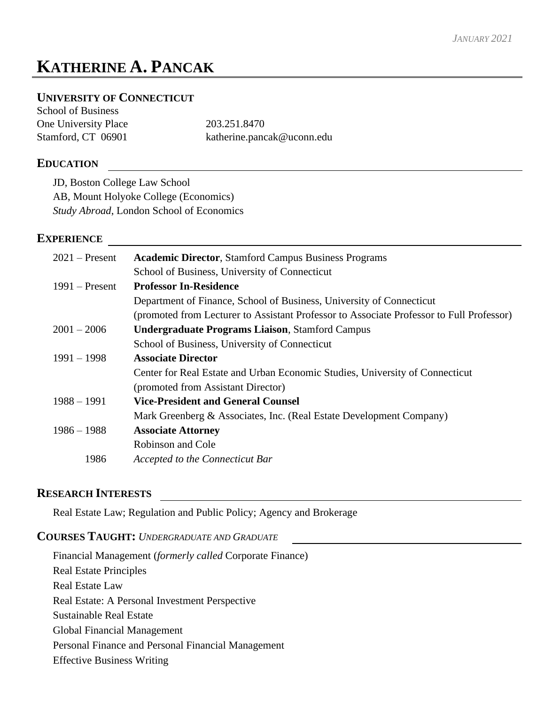# **KATHERINE A. PANCAK**

# **UNIVERSITY OF CONNECTICUT**

School of Business One University Place 203.251.8470 Stamford, CT 06901 katherine.pancak@uconn.edu

# **EDUCATION**

JD, Boston College Law School AB, Mount Holyoke College (Economics) *Study Abroad*, London School of Economics

# **EXPERIENCE**

| $2021$ – Present | <b>Academic Director, Stamford Campus Business Programs</b>                              |
|------------------|------------------------------------------------------------------------------------------|
|                  | School of Business, University of Connecticut                                            |
| $1991$ – Present | <b>Professor In-Residence</b>                                                            |
|                  | Department of Finance, School of Business, University of Connecticut                     |
|                  | (promoted from Lecturer to Assistant Professor to Associate Professor to Full Professor) |
| $2001 - 2006$    | <b>Undergraduate Programs Liaison, Stamford Campus</b>                                   |
|                  | School of Business, University of Connecticut                                            |
| $1991 - 1998$    | <b>Associate Director</b>                                                                |
|                  | Center for Real Estate and Urban Economic Studies, University of Connecticut             |
|                  | (promoted from Assistant Director)                                                       |
| $1988 - 1991$    | <b>Vice-President and General Counsel</b>                                                |
|                  | Mark Greenberg & Associates, Inc. (Real Estate Development Company)                      |
| $1986 - 1988$    | <b>Associate Attorney</b>                                                                |
|                  | Robinson and Cole                                                                        |
| 1986             | Accepted to the Connecticut Bar                                                          |
|                  |                                                                                          |

# **RESEARCH INTERESTS**

Real Estate Law; Regulation and Public Policy; Agency and Brokerage

### **COURSES TAUGHT:** *UNDERGRADUATE AND GRADUATE*

Financial Management (*formerly called* Corporate Finance) Real Estate Principles Real Estate Law Real Estate: A Personal Investment Perspective Sustainable Real Estate Global Financial Management Personal Finance and Personal Financial Management Effective Business Writing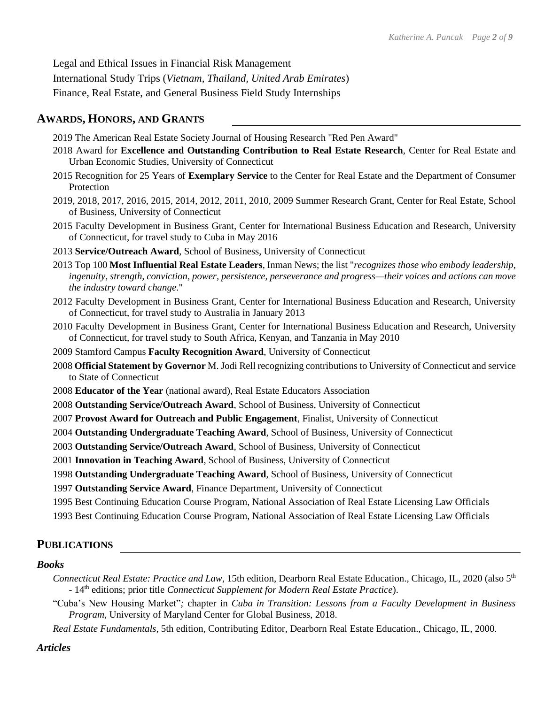Legal and Ethical Issues in Financial Risk Management International Study Trips (*Vietnam, Thailand, United Arab Emirates*) Finance, Real Estate, and General Business Field Study Internships

# **AWARDS, HONORS, AND GRANTS**

- 2019 The American Real Estate Society Journal of Housing Research "Red Pen Award"
- 2018 Award for **Excellence and Outstanding Contribution to Real Estate Research**, Center for Real Estate and Urban Economic Studies, University of Connecticut
- 2015 Recognition for 25 Years of **Exemplary Service** to the Center for Real Estate and the Department of Consumer Protection
- 2019, 2018, 2017, 2016, 2015, 2014, 2012, 2011, 2010, 2009 Summer Research Grant, Center for Real Estate, School of Business, University of Connecticut
- 2015 Faculty Development in Business Grant, Center for International Business Education and Research, University of Connecticut, for travel study to Cuba in May 2016
- 2013 **Service/Outreach Award**, School of Business, University of Connecticut
- 2013 Top 100 **Most Influential Real Estate Leaders**, Inman News; the list "*recognizes those who embody leadership, ingenuity, strength, conviction, power, persistence, perseverance and progress—their voices and actions can move the industry toward change*."
- 2012 Faculty Development in Business Grant, Center for International Business Education and Research, University of Connecticut, for travel study to Australia in January 2013
- 2010 Faculty Development in Business Grant, Center for International Business Education and Research, University of Connecticut, for travel study to South Africa, Kenyan, and Tanzania in May 2010
- 2009 Stamford Campus **Faculty Recognition Award**, University of Connecticut
- 2008 **Official Statement by Governor** M. Jodi Rell recognizing contributions to University of Connecticut and service to State of Connecticut
- 2008 **Educator of the Year** (national award), Real Estate Educators Association
- 2008 **Outstanding Service/Outreach Award**, School of Business, University of Connecticut
- 2007 **Provost Award for Outreach and Public Engagement**, Finalist, University of Connecticut
- 2004 **Outstanding Undergraduate Teaching Award**, School of Business, University of Connecticut
- 2003 **Outstanding Service/Outreach Award**, School of Business, University of Connecticut
- 2001 **Innovation in Teaching Award**, School of Business, University of Connecticut
- 1998 **Outstanding Undergraduate Teaching Award**, School of Business, University of Connecticut
- 1997 **Outstanding Service Award**, Finance Department, University of Connecticut
- 1995 Best Continuing Education Course Program, National Association of Real Estate Licensing Law Officials
- 1993 Best Continuing Education Course Program, National Association of Real Estate Licensing Law Officials

# **PUBLICATIONS**

#### *Books*

- *Connecticut Real Estate: Practice and Law*, 15th edition, Dearborn Real Estate Education., Chicago, IL, 2020 (also 5th - 14<sup>th</sup> editions; prior title *Connecticut Supplement for Modern Real Estate Practice*).
- "Cuba's New Housing Market"*;* chapter in *Cuba in Transition: Lessons from a Faculty Development in Business Program*, University of Maryland Center for Global Business, 2018.

*Real Estate Fundamentals*, 5th edition, Contributing Editor, Dearborn Real Estate Education., Chicago, IL, 2000.

#### *Articles*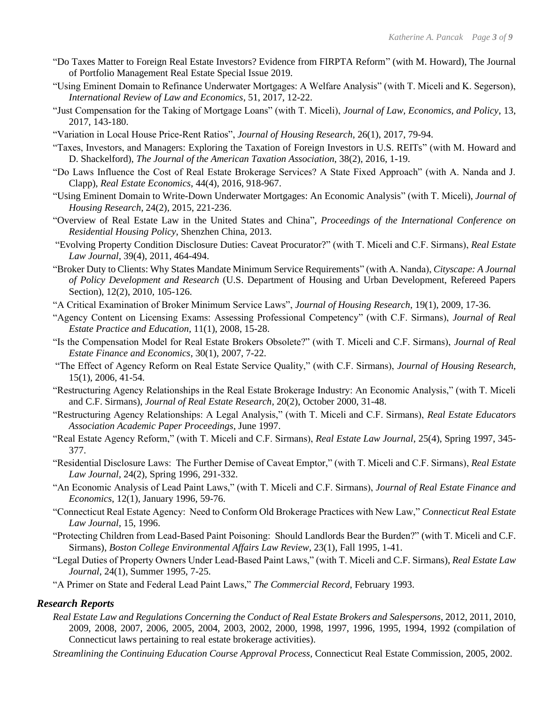- "Do Taxes Matter to Foreign Real Estate Investors? Evidence from FIRPTA Reform" (with M. Howard), The Journal of Portfolio Management Real Estate Special Issue 2019.
- "Using Eminent Domain to Refinance Underwater Mortgages: A Welfare Analysis" (with T. Miceli and K. Segerson), *International Review of Law and Economics*, 51, 2017, 12-22.
- "Just Compensation for the Taking of Mortgage Loans" (with T. Miceli), *Journal of Law, Economics, and Policy*, 13, 2017, 143-180.
- "Variation in Local House Price-Rent Ratios", *Journal of Housing Research*, 26(1), 2017, 79-94.
- "Taxes, Investors, and Managers: Exploring the Taxation of Foreign Investors in U.S. REITs" (with M. Howard and D. Shackelford), *The Journal of the American Taxation Association*, 38(2), 2016, 1-19.
- "Do Laws Influence the Cost of Real Estate Brokerage Services? A State Fixed Approach" (with A. Nanda and J. Clapp), *Real Estate Economics*, 44(4), 2016, 918-967.
- "Using Eminent Domain to Write-Down Underwater Mortgages: An Economic Analysis" (with T. Miceli), *Journal of Housing Research*, 24(2), 2015, 221-236.
- "Overview of Real Estate Law in the United States and China", *Proceedings of the International Conference on Residential Housing Policy*, Shenzhen China, 2013.
- "Evolving Property Condition Disclosure Duties: Caveat Procurator?" (with T. Miceli and C.F. Sirmans), *Real Estate Law Journal*, 39(4), 2011, 464-494.
- "Broker Duty to Clients: Why States Mandate Minimum Service Requirements" (with A. Nanda), *Cityscape: A Journal of Policy Development and Research* (U.S. Department of Housing and Urban Development, Refereed Papers Section), 12(2), 2010, 105-126.
- "A Critical Examination of Broker Minimum Service Laws", *Journal of Housing Research*, 19(1), 2009, 17-36.
- "Agency Content on Licensing Exams: Assessing Professional Competency" (with C.F. Sirmans), *Journal of Real Estate Practice and Education*, 11(1), 2008, 15-28.
- "Is the Compensation Model for Real Estate Brokers Obsolete?" (with T. Miceli and C.F. Sirmans), *Journal of Real Estate Finance and Economics*, 30(1), 2007, 7-22.
- "The Effect of Agency Reform on Real Estate Service Quality," (with C.F. Sirmans), *Journal of Housing Research*, 15(1), 2006, 41-54.
- "Restructuring Agency Relationships in the Real Estate Brokerage Industry: An Economic Analysis," (with T. Miceli and C.F. Sirmans), *Journal of Real Estate Research*, 20(2), October 2000, 31-48.
- "Restructuring Agency Relationships: A Legal Analysis," (with T. Miceli and C.F. Sirmans), *Real Estate Educators Association Academic Paper Proceedings*, June 1997.
- "Real Estate Agency Reform," (with T. Miceli and C.F. Sirmans), *Real Estate Law Journal*, 25(4), Spring 1997, 345- 377.
- "Residential Disclosure Laws: The Further Demise of Caveat Emptor," (with T. Miceli and C.F. Sirmans), *Real Estate Law Journal*, 24(2), Spring 1996, 291-332.
- "An Economic Analysis of Lead Paint Laws," (with T. Miceli and C.F. Sirmans), *Journal of Real Estate Finance and Economics*, 12(1), January 1996, 59-76.
- "Connecticut Real Estate Agency: Need to Conform Old Brokerage Practices with New Law," *Connecticut Real Estate Law Journal*, 15, 1996.
- "Protecting Children from Lead-Based Paint Poisoning: Should Landlords Bear the Burden?" (with T. Miceli and C.F. Sirmans), *Boston College Environmental Affairs Law Review*, 23(1), Fall 1995, 1-41.
- "Legal Duties of Property Owners Under Lead-Based Paint Laws," (with T. Miceli and C.F. Sirmans), *Real Estate Law Journal*, 24(1), Summer 1995, 7-25.
- "A Primer on State and Federal Lead Paint Laws," *The Commercial Record*, February 1993.

#### *Research Reports*

- *Real Estate Law and Regulations Concerning the Conduct of Real Estate Brokers and Salespersons*, 2012, 2011, 2010, 2009, 2008, 2007, 2006, 2005, 2004, 2003, 2002, 2000, 1998, 1997, 1996, 1995, 1994, 1992 (compilation of Connecticut laws pertaining to real estate brokerage activities).
- *Streamlining the Continuing Education Course Approval Process,* Connecticut Real Estate Commission, 2005, 2002.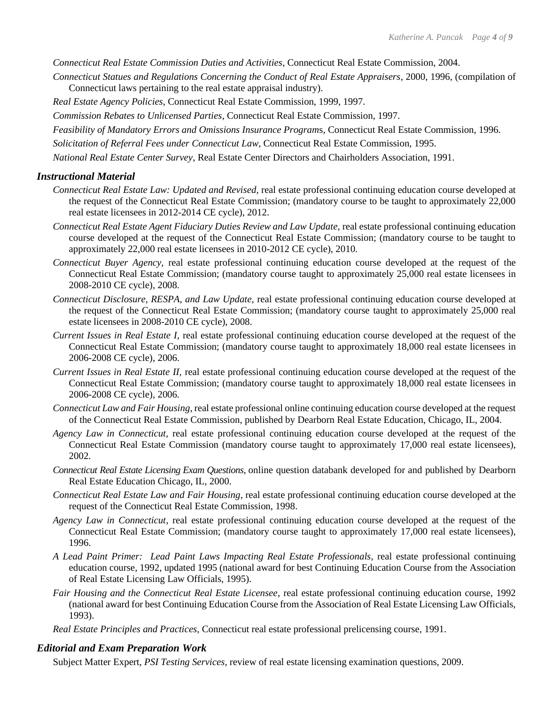*Connecticut Real Estate Commission Duties and Activities*, Connecticut Real Estate Commission, 2004.

- *Connecticut Statues and Regulations Concerning the Conduct of Real Estate Appraisers*, 2000, 1996, (compilation of Connecticut laws pertaining to the real estate appraisal industry).
- *Real Estate Agency Policies*, Connecticut Real Estate Commission, 1999, 1997.
- *Commission Rebates to Unlicensed Parties*, Connecticut Real Estate Commission, 1997.
- *Feasibility of Mandatory Errors and Omissions Insurance Program*s, Connecticut Real Estate Commission, 1996.
- *Solicitation of Referral Fees under Connecticut Law*, Connecticut Real Estate Commission, 1995.
- *National Real Estate Center Survey*, Real Estate Center Directors and Chairholders Association, 1991.

#### *Instructional Material*

- *Connecticut Real Estate Law: Updated and Revised,* real estate professional continuing education course developed at the request of the Connecticut Real Estate Commission; (mandatory course to be taught to approximately 22,000 real estate licensees in 2012-2014 CE cycle), 2012.
- *Connecticut Real Estate Agent Fiduciary Duties Review and Law Update,* real estate professional continuing education course developed at the request of the Connecticut Real Estate Commission; (mandatory course to be taught to approximately 22,000 real estate licensees in 2010-2012 CE cycle), 2010*.*
- *Connecticut Buyer Agency,* real estate professional continuing education course developed at the request of the Connecticut Real Estate Commission; (mandatory course taught to approximately 25,000 real estate licensees in 2008-2010 CE cycle), 2008.
- *Connecticut Disclosure, RESPA, and Law Update,* real estate professional continuing education course developed at the request of the Connecticut Real Estate Commission; (mandatory course taught to approximately 25,000 real estate licensees in 2008-2010 CE cycle), 2008.
- *Current Issues in Real Estate I,* real estate professional continuing education course developed at the request of the Connecticut Real Estate Commission; (mandatory course taught to approximately 18,000 real estate licensees in 2006-2008 CE cycle), 2006.
- *Current Issues in Real Estate II,* real estate professional continuing education course developed at the request of the Connecticut Real Estate Commission; (mandatory course taught to approximately 18,000 real estate licensees in 2006-2008 CE cycle), 2006.
- *Connecticut Law and Fair Housing*, real estate professional online continuing education course developed at the request of the Connecticut Real Estate Commission, published by Dearborn Real Estate Education, Chicago, IL, 2004.
- *Agency Law in Connecticut,* real estate professional continuing education course developed at the request of the Connecticut Real Estate Commission (mandatory course taught to approximately 17,000 real estate licensees), 2002.
- *Connecticut Real Estate Licensing Exam Questions*, online question databank developed for and published by Dearborn Real Estate Education Chicago, IL, 2000.
- *Connecticut Real Estate Law and Fair Housing*, real estate professional continuing education course developed at the request of the Connecticut Real Estate Commission, 1998.
- *Agency Law in Connecticut*, real estate professional continuing education course developed at the request of the Connecticut Real Estate Commission; (mandatory course taught to approximately 17,000 real estate licensees), 1996.
- *A Lead Paint Primer: Lead Paint Laws Impacting Real Estate Professionals*, real estate professional continuing education course, 1992, updated 1995 (national award for best Continuing Education Course from the Association of Real Estate Licensing Law Officials, 1995).
- *Fair Housing and the Connecticut Real Estate Licensee*, real estate professional continuing education course, 1992 (national award for best Continuing Education Course from the Association of Real Estate Licensing Law Officials, 1993).
- *Real Estate Principles and Practices*, Connecticut real estate professional prelicensing course, 1991.

#### *Editorial and Exam Preparation Work*

Subject Matter Expert, *PSI Testing Services*, review of real estate licensing examination questions, 2009.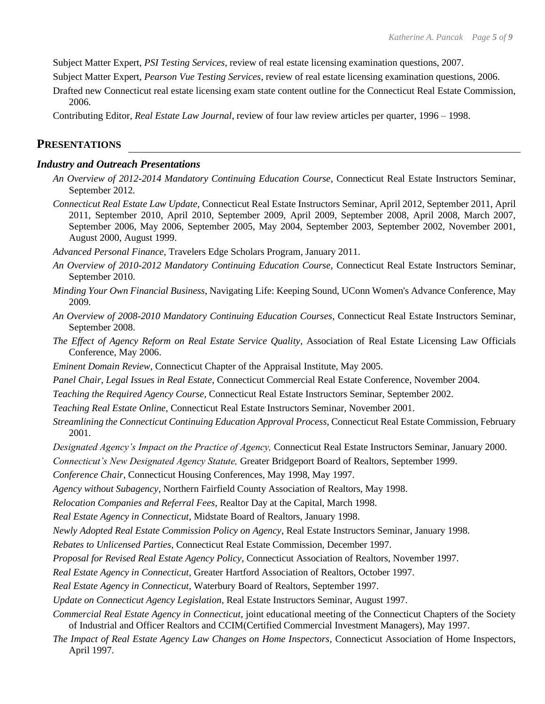Subject Matter Expert, *PSI Testing Services*, review of real estate licensing examination questions, 2007.

Subject Matter Expert, *Pearson Vue Testing Services*, review of real estate licensing examination questions, 2006.

Drafted new Connecticut real estate licensing exam state content outline for the Connecticut Real Estate Commission, 2006.

Contributing Editor, *Real Estate Law Journal*, review of four law review articles per quarter, 1996 – 1998.

#### **PRESENTATIONS**

#### *Industry and Outreach Presentations*

- *An Overview of 2012-2014 Mandatory Continuing Education Course,* Connecticut Real Estate Instructors Seminar, September 2012*.*
- *Connecticut Real Estate Law Update,* Connecticut Real Estate Instructors Seminar, April 2012, September 2011, April 2011, September 2010, April 2010, September 2009, April 2009, September 2008, April 2008, March 2007, September 2006, May 2006, September 2005, May 2004, September 2003, September 2002, November 2001, August 2000, August 1999.

*Advanced Personal Finance,* Travelers Edge Scholars Program, January 2011.

- *An Overview of 2010-2012 Mandatory Continuing Education Course,* Connecticut Real Estate Instructors Seminar, September 2010.
- *Minding Your Own Financial Business*, Navigating Life: Keeping Sound, UConn Women's Advance Conference, May 2009.
- *An Overview of 2008-2010 Mandatory Continuing Education Courses*, Connecticut Real Estate Instructors Seminar, September 2008.
- *The Effect of Agency Reform on Real Estate Service Quality*, Association of Real Estate Licensing Law Officials Conference, May 2006.
- *Eminent Domain Review,* Connecticut Chapter of the Appraisal Institute, May 2005.
- *Panel Chair, Legal Issues in Real Estate*, Connecticut Commercial Real Estate Conference, November 2004*.*
- *Teaching the Required Agency Course,* Connecticut Real Estate Instructors Seminar, September 2002.
- *Teaching Real Estate Online,* Connecticut Real Estate Instructors Seminar, November 2001.
- *Streamlining the Connecticut Continuing Education Approval Process,* Connecticut Real Estate Commission, February 2001.
- *Designated Agency's Impact on the Practice of Agency,* Connecticut Real Estate Instructors Seminar, January 2000.

*Connecticut's New Designated Agency Statute,* Greater Bridgeport Board of Realtors, September 1999.

*Conference Chair*, Connecticut Housing Conferences, May 1998, May 1997.

*Agency without Subagency*, Northern Fairfield County Association of Realtors, May 1998.

*Relocation Companies and Referral Fees*, Realtor Day at the Capital, March 1998.

*Real Estate Agency in Connecticut*, Midstate Board of Realtors, January 1998.

*Newly Adopted Real Estate Commission Policy on Agency*, Real Estate Instructors Seminar, January 1998.

*Rebates to Unlicensed Parties*, Connecticut Real Estate Commission, December 1997.

*Proposal for Revised Real Estate Agency Policy*, Connecticut Association of Realtors, November 1997.

*Real Estate Agency in Connecticut*, Greater Hartford Association of Realtors, October 1997.

*Real Estate Agency in Connecticut*, Waterbury Board of Realtors, September 1997.

*Update on Connecticut Agency Legislation*, Real Estate Instructors Seminar, August 1997.

*Commercial Real Estate Agency in Connecticut*, joint educational meeting of the Connecticut Chapters of the Society of Industrial and Officer Realtors and CCIM(Certified Commercial Investment Managers), May 1997.

*The Impact of Real Estate Agency Law Changes on Home Inspectors*, Connecticut Association of Home Inspectors, April 1997.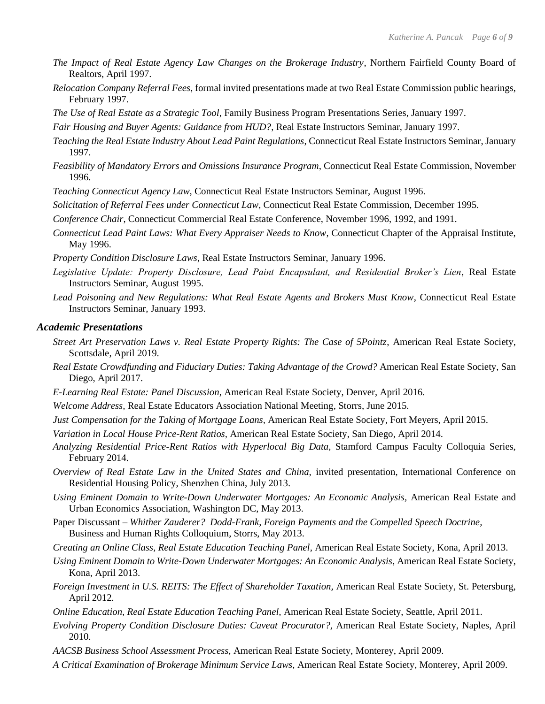- *The Impact of Real Estate Agency Law Changes on the Brokerage Industry*, Northern Fairfield County Board of Realtors, April 1997.
- *Relocation Company Referral Fees*, formal invited presentations made at two Real Estate Commission public hearings, February 1997.
- *The Use of Real Estate as a Strategic Tool*, Family Business Program Presentations Series, January 1997.
- *Fair Housing and Buyer Agents: Guidance from HUD?*, Real Estate Instructors Seminar, January 1997.
- *Teaching the Real Estate Industry About Lead Paint Regulations*, Connecticut Real Estate Instructors Seminar, January 1997.
- *Feasibility of Mandatory Errors and Omissions Insurance Program*, Connecticut Real Estate Commission, November 1996.
- *Teaching Connecticut Agency Law*, Connecticut Real Estate Instructors Seminar, August 1996.
- *Solicitation of Referral Fees under Connecticut Law*, Connecticut Real Estate Commission, December 1995.
- *Conference Chair*, Connecticut Commercial Real Estate Conference, November 1996, 1992, and 1991.
- *Connecticut Lead Paint Laws: What Every Appraiser Needs to Know*, Connecticut Chapter of the Appraisal Institute, May 1996.
- *Property Condition Disclosure Laws*, Real Estate Instructors Seminar, January 1996.
- *Legislative Update: Property Disclosure, Lead Paint Encapsulant, and Residential Broker's Lien*, Real Estate Instructors Seminar, August 1995.
- *Lead Poisoning and New Regulations: What Real Estate Agents and Brokers Must Know*, Connecticut Real Estate Instructors Seminar, January 1993.

#### *Academic Presentations*

- *Street Art Preservation Laws v. Real Estate Property Rights: The Case of 5Pointz*, American Real Estate Society, Scottsdale, April 2019.
- *Real Estate Crowdfunding and Fiduciary Duties: Taking Advantage of the Crowd?* American Real Estate Society, San Diego, April 2017.
- *E-Learning Real Estate: Panel Discussion*, American Real Estate Society, Denver, April 2016.
- *Welcome Address,* Real Estate Educators Association National Meeting, Storrs, June 2015.
- *Just Compensation for the Taking of Mortgage Loans,* American Real Estate Society, Fort Meyers, April 2015.
- *Variation in Local House Price-Rent Ratios,* American Real Estate Society, San Diego, April 2014.
- *Analyzing Residential Price-Rent Ratios with Hyperlocal Big Data,* Stamford Campus Faculty Colloquia Series, February 2014.
- *Overview of Real Estate Law in the United States and China, invited presentation, International Conference on* Residential Housing Policy, Shenzhen China, July 2013.
- *Using Eminent Domain to Write-Down Underwater Mortgages: An Economic Analysis,* American Real Estate and Urban Economics Association, Washington DC, May 2013.
- Paper Discussant *– Whither Zauderer? Dodd-Frank, Foreign Payments and the Compelled Speech Doctrine,*  Business and Human Rights Colloquium, Storrs, May 2013.
- *Creating an Online Class, Real Estate Education Teaching Panel*, American Real Estate Society, Kona, April 2013.
- *Using Eminent Domain to Write-Down Underwater Mortgages: An Economic Analysis*, American Real Estate Society, Kona, April 2013.
- *Foreign Investment in U.S. REITS: The Effect of Shareholder Taxation,* American Real Estate Society, St. Petersburg, April 2012*.*
- *Online Education, Real Estate Education Teaching Panel,* American Real Estate Society, Seattle, April 2011.
- *Evolving Property Condition Disclosure Duties: Caveat Procurator?*, American Real Estate Society, Naples, April 2010.
- *AACSB Business School Assessment Process,* American Real Estate Society, Monterey, April 2009.
- *A Critical Examination of Brokerage Minimum Service Laws,* American Real Estate Society, Monterey, April 2009.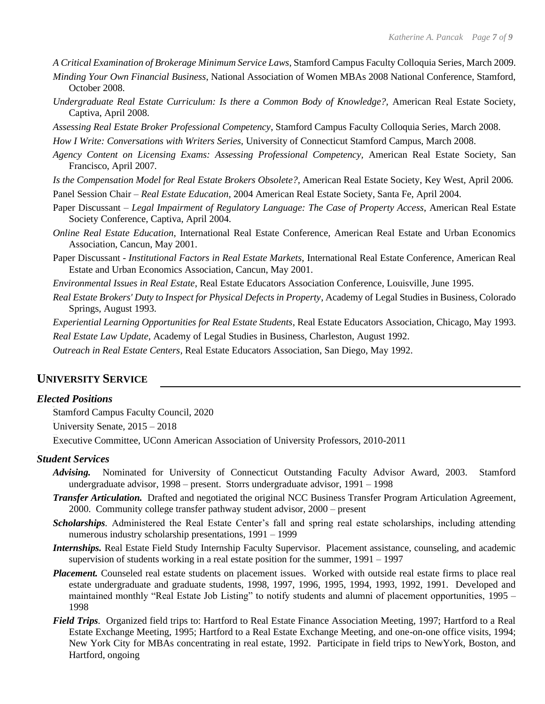- *A Critical Examination of Brokerage Minimum Service Laws*, Stamford Campus Faculty Colloquia Series, March 2009.
- *Minding Your Own Financial Business*, National Association of Women MBAs 2008 National Conference, Stamford, October 2008.
- *Undergraduate Real Estate Curriculum: Is there a Common Body of Knowledge?, American Real Estate Society,* Captiva, April 2008.
- *Assessing Real Estate Broker Professional Competency*, Stamford Campus Faculty Colloquia Series, March 2008.
- *How I Write: Conversations with Writers Series,* University of Connecticut Stamford Campus, March 2008.
- *Agency Content on Licensing Exams: Assessing Professional Competency,* American Real Estate Society, San Francisco, April 2007*.*
- *Is the Compensation Model for Real Estate Brokers Obsolete?,* American Real Estate Society, Key West, April 2006*.*
- Panel Session Chair *Real Estate Education*, 2004 American Real Estate Society, Santa Fe, April 2004.
- Paper Discussant *Legal Impairment of Regulatory Language: The Case of Property Access*, American Real Estate Society Conference, Captiva, April 2004.
- *Online Real Estate Education*, International Real Estate Conference, American Real Estate and Urban Economics Association, Cancun, May 2001.
- Paper Discussant *Institutional Factors in Real Estate Markets,* International Real Estate Conference, American Real Estate and Urban Economics Association, Cancun, May 2001.
- *Environmental Issues in Real Estate*, Real Estate Educators Association Conference, Louisville, June 1995.
- *Real Estate Brokers' Duty to Inspect for Physical Defects in Property*, Academy of Legal Studies in Business, Colorado Springs, August 1993.

*Experiential Learning Opportunities for Real Estate Students*, Real Estate Educators Association, Chicago, May 1993. *Real Estate Law Update*, Academy of Legal Studies in Business, Charleston, August 1992.

*Outreach in Real Estate Centers*, Real Estate Educators Association, San Diego, May 1992.

#### **UNIVERSITY SERVICE**

#### *Elected Positions*

Stamford Campus Faculty Council, 2020 University Senate, 2015 – 2018 Executive Committee, UConn American Association of University Professors, 2010-2011

#### *Student Services*

- *Advising.*Nominated for University of Connecticut Outstanding Faculty Advisor Award, 2003. Stamford undergraduate advisor, 1998 – present. Storrs undergraduate advisor, 1991 – 1998
- *Transfer Articulation.* Drafted and negotiated the original NCC Business Transfer Program Articulation Agreement, 2000. Community college transfer pathway student advisor, 2000 – present
- *Scholarships.* Administered the Real Estate Center's fall and spring real estate scholarships, including attending numerous industry scholarship presentations, 1991 – 1999
- *Internships.* Real Estate Field Study Internship Faculty Supervisor. Placement assistance, counseling, and academic supervision of students working in a real estate position for the summer, 1991 – 1997
- *Placement.* Counseled real estate students on placement issues. Worked with outside real estate firms to place real estate undergraduate and graduate students, 1998, 1997, 1996, 1995, 1994, 1993, 1992, 1991. Developed and maintained monthly "Real Estate Job Listing" to notify students and alumni of placement opportunities, 1995 – 1998
- *Field Trips.* Organized field trips to: Hartford to Real Estate Finance Association Meeting, 1997; Hartford to a Real Estate Exchange Meeting, 1995; Hartford to a Real Estate Exchange Meeting, and one-on-one office visits, 1994; New York City for MBAs concentrating in real estate, 1992. Participate in field trips to NewYork, Boston, and Hartford, ongoing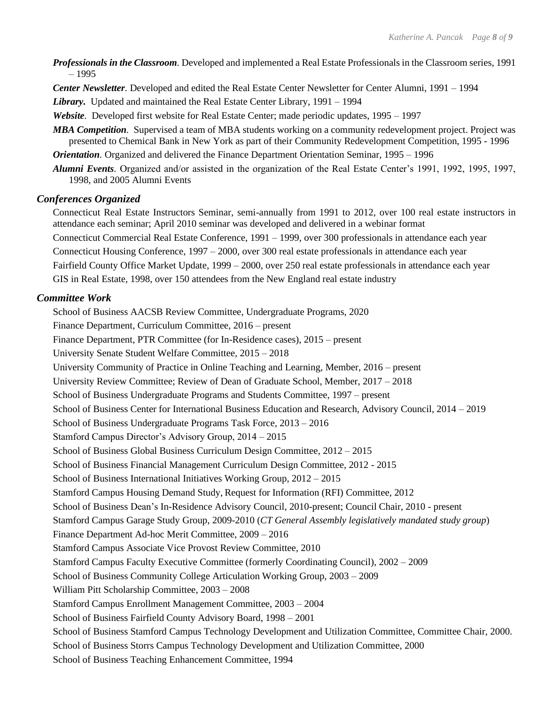- *Professionals in the Classroom.* Developed and implemented a Real Estate Professionals in the Classroom series, 1991 – 1995
- *Center Newsletter.* Developed and edited the Real Estate Center Newsletter for Center Alumni, 1991 1994

*Library.*Updated and maintained the Real Estate Center Library, 1991 – 1994

- *Website.* Developed first website for Real Estate Center; made periodic updates, 1995 1997
- *MBA Competition.* Supervised a team of MBA students working on a community redevelopment project. Project was presented to Chemical Bank in New York as part of their Community Redevelopment Competition, 1995 - 1996
- *Orientation.* Organized and delivered the Finance Department Orientation Seminar, 1995 1996
- *Alumni Events.* Organized and/or assisted in the organization of the Real Estate Center's 1991, 1992, 1995, 1997, 1998, and 2005 Alumni Events

#### *Conferences Organized*

Connecticut Real Estate Instructors Seminar, semi-annually from 1991 to 2012, over 100 real estate instructors in attendance each seminar; April 2010 seminar was developed and delivered in a webinar format Connecticut Commercial Real Estate Conference, 1991 – 1999, over 300 professionals in attendance each year

Connecticut Housing Conference, 1997 – 2000, over 300 real estate professionals in attendance each year

Fairfield County Office Market Update, 1999 – 2000, over 250 real estate professionals in attendance each year

GIS in Real Estate, 1998, over 150 attendees from the New England real estate industry

#### *Committee Work*

School of Business AACSB Review Committee, Undergraduate Programs, 2020 Finance Department, Curriculum Committee, 2016 – present

Finance Department, PTR Committee (for In-Residence cases), 2015 – present

University Senate Student Welfare Committee, 2015 – 2018

University Community of Practice in Online Teaching and Learning, Member, 2016 – present

University Review Committee; Review of Dean of Graduate School, Member, 2017 – 2018

School of Business Undergraduate Programs and Students Committee, 1997 – present

School of Business Center for International Business Education and Research, Advisory Council, 2014 – 2019

School of Business Undergraduate Programs Task Force, 2013 – 2016

Stamford Campus Director's Advisory Group, 2014 – 2015

School of Business Global Business Curriculum Design Committee, 2012 – 2015

School of Business Financial Management Curriculum Design Committee, 2012 - 2015

School of Business International Initiatives Working Group, 2012 – 2015

Stamford Campus Housing Demand Study, Request for Information (RFI) Committee, 2012

School of Business Dean's In-Residence Advisory Council, 2010-present; Council Chair, 2010 - present

Stamford Campus Garage Study Group, 2009-2010 (*CT General Assembly legislatively mandated study group*)

Finance Department Ad-hoc Merit Committee, 2009 – 2016

Stamford Campus Associate Vice Provost Review Committee, 2010

Stamford Campus Faculty Executive Committee (formerly Coordinating Council), 2002 – 2009

School of Business Community College Articulation Working Group, 2003 – 2009

William Pitt Scholarship Committee, 2003 – 2008

Stamford Campus Enrollment Management Committee, 2003 – 2004

School of Business Fairfield County Advisory Board, 1998 – 2001

School of Business Stamford Campus Technology Development and Utilization Committee, Committee Chair, 2000.

School of Business Storrs Campus Technology Development and Utilization Committee, 2000

School of Business Teaching Enhancement Committee, 1994